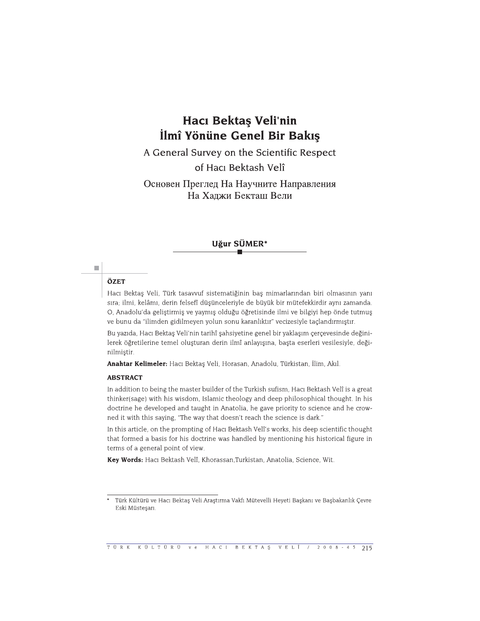# Hacı Bektaş Veli'nin İlmî Yönüne Genel Bir Bakış

A General Survey on the Scientific Respect of Hacı Bektash Velî

Основен Преглед На Научните Направления На Хаджи Бекташ Вели

## Uğur SÜMER\*

# ÖZET

 $\mathbb{R}^2$ 

Hacı Bektaş Veli, Türk tasavvuf sistematiğinin baş mimarlarından biri olmasının yanı sıra; ilmi, kelâmı, derin felsefî düşünceleriyle de büyük bir mütefekkirdir aynı zamanda. O, Anadolu'da geliştirmiş ve yaymış olduğu öğretisinde ilmi ve bilgiyi hep önde tutmuş ve bunu da "ilimden gidilmeyen yolun sonu karanlıktır" vecizesiyle taçlandırmıştır.

Bu yazıda, Hacı Bektaş Veli'nin tarihî şahsiyetine genel bir yaklaşım çerçevesinde değinilerek öğretilerine temel oluşturan derin ilmî anlayışına, başta eserleri vesilesiyle, değinilmiştir.

Anahtar Kelimeler: Hacı Bektaş Veli, Horasan, Anadolu, Türkistan, İlim, Akıl.

### **ABSTRACT**

In addition to being the master builder of the Turkish sufism, Hacı Bektash Velî is a great thinker(sage) with his wisdom, Islamic theology and deep philosophical thought. In his doctrine he developed and taught in Anatolia, he gave priority to science and he crowned it with this saying, "The way that doesn't reach the science is dark."

In this article, on the prompting of Hacı Bektash Velî's works, his deep scientific thought that formed a basis for his doctrine was handled by mentioning his historical figure in terms of a general point of view.

Key Words: Hacı Bektash Velî, Khorassan, Turkistan, Anatolia, Science, Wit.

Türk Kültürü ve Hacı Bektaş Veli Araştırma Vakfı Mütevelli Heyeti Başkanı ve Başbakanlık Çevre Eski Müsteşarı.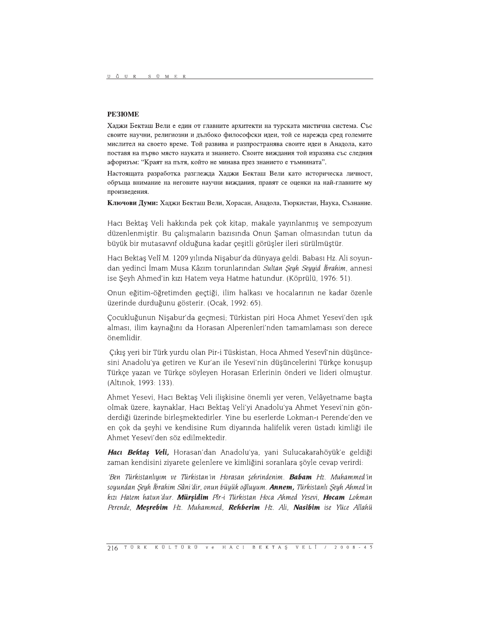и 6 и к в 6 м к в финистраните архитекти на турската мистична система. Със водки Бекташ Вели е един от главните архитекти на турската мистична система. Със евоите научни, религиозни и дълбоко философски иден, той се нар

ise Şeyh Ahmed'in kızı Hatem veya Hatme hatundur. (Köprülü, 1976: 51).

Onun eğitim-öğretimden geçtiği, ilim halkası ve hocalarının ne kadar özenle üzerinde durduğunu gösterir. (Ocak, 1992: 65).

Çocukluğunun Nişabur'da geçmesi; Türkistan piri Hoca Ahmet Yesevi'den ışık alması, ilim kaynağını da Horasan Alperenleri'nden tamamlaması son derece önemlidir.

Çıkış yeri bir Türk yurdu olan Pir-i Tüskistan, Hoca Ahmed Yesevî'nin düşüncesini Anadolu'ya getiren ve Kur'an ile Yesevi'nin düşüncelerini Türkçe konuşup Türkçe yazan ve Türkçe söyleyen Horasan Erlerinin önderi ve lideri olmuştur. (Altınok, 1993: 133).

Ahmet Yesevi, Hacı Bektaş Veli ilişkisine önemli yer veren, Velâyetname başta olmak üzere, kaynaklar, Hacı Bektaş Veli'yi Anadolu'ya Ahmet Yesevi'nin gönderdigi uzerinde birleşmektedirler. Yine bu eserlerde Lokman-i Perende'den ve en çok da şeyhi ve kendisine Rum diyarında halifelik veren üstadi kimliği ile Ahmet Yesevi'den söz edilmektedir.

Hacı Bektaş Veli, Horasan'dan Anadolu'ya, yani Sulucakarahöyük'e geldiği zaman kendisini ziyarete gelenlere ve kimliğini soranlara şöyle cevap verirdi:

'Ben Türkistanlıyım ve Türkistan'ın Horasan şehrindenim. **Babam** Hz. Muhammed'in soyundan Şeyh İbrahim Sâni'dir, onun büyük oğluyum. Annem, Türkistanlı Şeyh Ahmed'in kızı Hatem hatun'dur. Mürşidim Pîr-i Türkistan Hoca Ahmed Yesevi, Hocam Lokman Perende, Mesrebim Hz. Muhammed, Rehberim Hz. Ali, Nasibim ise Yüce Allahü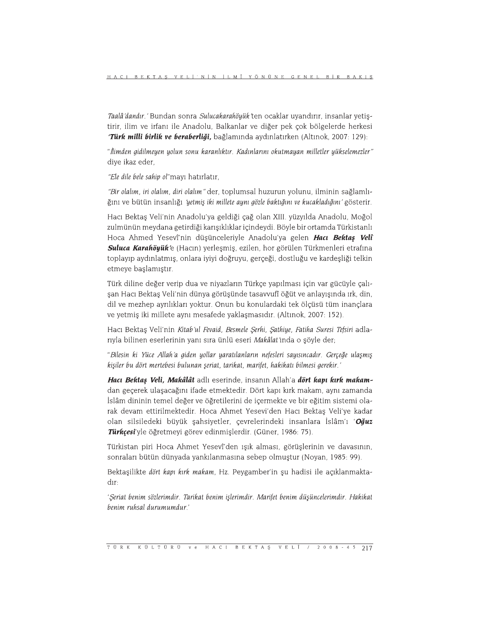Taalâ'dandır. 'Bundan sonra Sulucakarahöyük ten ocaklar uyandırır, insanlar yetiştirir, ilim ve irfanı ile Anadolu, Balkanlar ve diğer pek çok bölgelerde herkesi "Türk milli birlik ve beraberliği, bağlamında aydınlatırken (Altınok, 2007: 129):

"İlimden gidilmeyen yolun sonu karanlıktır. Kadınlarını okutmayan milletler yükselemezler" diye ikaz eder,

"Ele dile bele sahip ol"mayı hatırlatır,

"Bir olalım, iri olalım, diri olalım" der, toplumsal huzurun yolunu, ilminin sağlamlığını ve bütün insanlığı 'yetmiş iki millete aynı gözle baktığını ve kucakladığını' gösterir.

Hacı Bektaş Veli'nin Anadolu'ya geldiği çağ olan XIII. yüzyılda Anadolu, Moğol zulmünün meydana getirdiği karışıklıklar içindeydi. Böyle bir ortamda Türkistanlı Hoca Ahmed Yesevî'nin düşünceleriyle Anadolu'ya gelen Hacı Bektaş Velî Suluca Karahöyük'e (Hacın) yerleşmiş, ezilen, hor görülen Türkmenleri etrafına toplayıp aydınlatmış, onlara iyiyi doğruyu, gerçeği, dostluğu ve kardeşliği telkin etmeye başlamıştır.

Türk diline değer verip dua ve niyazların Türkçe yapılması için var gücüyle çalışan Hacı Bektaş Veli'nin dünya görüşünde tasavvufî öğüt ve anlayışında ırk, din, dil ve mezhep ayrılıkları yoktur. Onun bu konulardaki tek ölçüsü tüm inançlara ve yetmiş iki millete aynı mesafede yaklaşmasıdır. (Altınok, 2007: 152).

Hacı Bektaş Veli'nin Kitab'ul Fevaid, Besmele Şerhi, Şathiye, Fatiha Suresi Tefsiri adlarıyla bilinen eserlerinin yanı sıra ünlü eseri Makâlat'ında o şöyle der;

"Bilesin ki Yüce Allah'a giden yollar yaratılanların nefesleri sayısıncadır. Gerçeğe ulaşmış kişiler bu dört mertebesi bulunan şeriat, tarikat, marifet, hakikatı bilmesi gerekir.'

Hacı Bektaş Veli, Makâlât adlı eserinde, insanın Allah'a dört kapı kırk makamdan geçerek ulaşacağını ifade etmektedir. Dört kapı kırk makam, aynı zamanda İslâm dininin temel değer ve öğretilerini de içermekte ve bir eğitim sistemi olarak devam ettirilmektedir. Hoca Ahmet Yesevi'den Hacı Bektas Veli'ye kadar olan silsiledeki büyük şahsiyetler, çevrelerindeki insanlara İslâm'ı 'Oğuz Türkçesi'yle öğretmeyi görev edinmişlerdir. (Güner, 1986: 75).

Türkistan piri Hoca Ahmet Yesevî'den ışık alması, görüşlerinin ve davasının, sonraları bütün dünyada yankılanmasına sebep olmuştur (Noyan, 1985: 99).

Bektaşilikte dört kapı kırk makam, Hz. Peygamber'in şu hadisi ile açıklanmaktadır:

'Seriat benim sözlerimdir. Tarikat benim islerimdir. Marifet benim düsüncelerimdir. Hakikat benim ruhsal durumumdur.'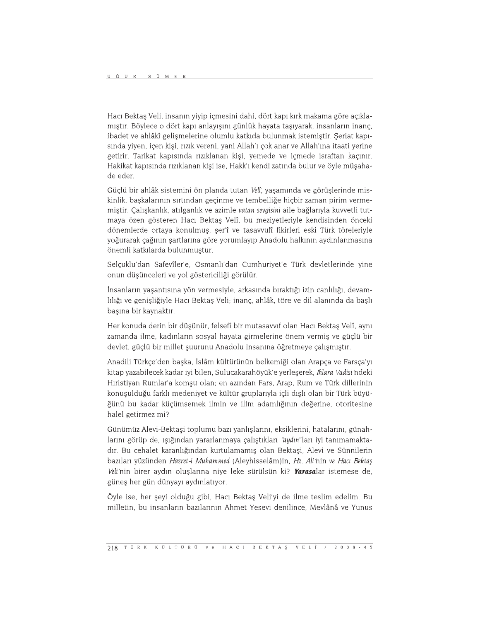Hacı Bektaş Veli, insanın yiyip içmesini dahi, dört kapı kırk makama göre açıklamıştır. Böylece o dört kapı anlayışını günlük hayata taşıyarak, insanların inanç, ibadet ve ahlâkî gelişmelerine olumlu katkıda bulunmak istemiştir. Şeriat kapısında yiyen, içen kişi, rızık vereni, yani Allah'ı çok anar ve Allah'ına itaati yerine getirir. Tarikat kapısında rızıklanan kişi, yemede ve içmede israftan kaçınır. Hakikat kapısında rızıklanan kişi ise, Hakk'ı kendi zatında bulur ve öyle müşahade eder.

Güçlü bir ahlâk sistemini ön planda tutan Velî, yaşamında ve görüşlerinde miskinlik, başkalarının sırtından geçinme ve tembelliğe hiçbir zaman pirim vermemiştir. Çalışkanlık, atılganlık ve azimle vatan sevgisini aile bağlarıyla kuvvetli tutmaya özen gösteren Hacı Bektaş Velî, bu meziyetleriyle kendisinden önceki dönemlerde ortaya konulmuş, şer'î ve tasavvufî fikirleri eski Türk töreleriyle yoğurarak çağının şartlarına göre yorumlayıp Anadolu halkının aydınlanmasına önemli katkılarda bulunmuştur.

Selçuklu'dan Safevîler'e, Osmanlı'dan Cumhuriyet'e Türk devletlerinde yine onun düşünceleri ve yol göstericiliği görülür.

İnsanların yaşantısına yön vermesiyle, arkasında bıraktığı izin canlılığı, devamlılığı ve genişliğiyle Hacı Bektaş Veli; inanç, ahlâk, töre ve dil alanında da başlı başına bir kaynaktır.

Her konuda derin bir düşünür, felsefî bir mutasavvıf olan Hacı Bektaş Velî, aynı zamanda ilme, kadınların sosyal hayata girmelerine önem vermiş ve güçlü bir devlet, güçlü bir millet şuurunu Anadolu insanına öğretmeye çalışmıştır.

Anadili Türkçe'den başka, İslâm kültürünün belkemiği olan Arapça ve Farsça'yı kitap yazabilecek kadar iyi bilen, Sulucakarahöyük'e yerleserek, *Ihlara Vadisi'*ndeki Hiristiyan Rumlar'a komsu olan; en azından Fars, Arap, Rum ve Türk dillerinin konuşulduğu farklı medeniyet ve kültür gruplarıyla içli dışlı olan bir Türk büyüğünü bu kadar küçümsemek ilmin ve ilim adamlığının değerine, otoritesine halel getirmez mi?

Günümüz Alevi-Bektaşi toplumu bazı yanlışlarını, eksiklerini, hatalarını, günahlarını görüp de, ışığından yararlanmaya çalıştıkları "aydın"ları iyi tanımamaktadır. Bu cehalet karanlığından kurtulamamış olan Bektaşi, Alevi ve Sünnilerin bazıları yüzünden Hazret-i Muhammed (Aleyhisselâm)in, Hz. Ali'nin ve Hacı Bektaş Veli'nin birer aydın oluşlarına niye leke sürülsün ki? Yarasalar istemese de, güneş her gün dünyayı aydınlatıyor.

Öyle ise, her şeyi olduğu gibi, Hacı Bektaş Veli'yi de ilme teslim edelim. Bu milletin, bu insanların bazılarının Ahmet Yesevi denilince. Mevlânâ ve Yunus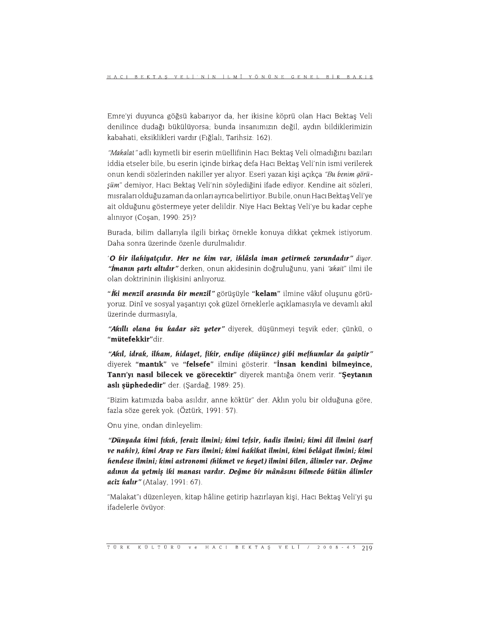Emre'yi duyunca göğsü kabarıyor da, her ikisine köprü olan Hacı Bektaş Veli denilince dudağı bükülüyorsa; bunda insanımızın değil, aydın bildiklerimizin kabahati, eksiklikleri vardır (Fığlalı, Tarihsiz: 162).

"Makalat" adlı kıymetli bir eserin müellifinin Hacı Bektaş Veli olmadığını bazıları iddia etseler bile, bu eserin içinde birkaç defa Hacı Bektaş Veli'nin ismi verilerek onun kendi sözlerinden nakiller yer alıyor. Eseri yazan kişi açıkça "Bu benim görüşüm" demiyor, Hacı Bektaş Veli'nin söylediğini ifade ediyor. Kendine ait sözleri, mısraları olduğu zaman da onları ayrıca belirtiyor. Bu bile, onun Hacı Bektaş Veli'ye ait olduğunu göstermeye yeter delildir. Niye Hacı Bektaş Veli'ye bu kadar cephe aliniyor (Cosan, 1990: 25)?

Burada, bilim dallarıyla ilgili birkaç örnekle konuya dikkat çekmek istiyorum. Daha sonra üzerinde özenle durulmalıdır.

'O bir ilahiyatçıdır. Her ne kim var, ihlâsla iman getirmek zorundadır" diyor. *"İmanın şartı altıdır"* derken, onun akidesinin doğruluğunu, yani *"akait"* ilmi ile olan doktrininin ilişkisini anlıyoruz.

"İki menzil arasında bir menzil" görüşüyle "kelam" ilmine vâkıf oluşunu görüyoruz. Dinî ve sosyal yaşantıyı çok güzel örneklerle açıklamasıyla ve devamlı akıl üzerinde durmasıyla,

"Akıllı olana bu kadar söz yeter" diyerek, düsünmeyi tesvik eder; cünkü, o "mütefekkir"dir.

"Akıl, idrak, ilham, hidayet, fikir, endişe (düşünce) gibi mefhumlar da gaiptir" diyerek "mantık" ve "felsefe" ilmini gösterir. "İnsan kendini bilmeyince, Tanrı'yı nasıl bilecek ve görecektir" diyerek mantığa önem verir. "Şeytanın aslı şüphededir" der. (Şardağ, 1989: 25).

"Bizim katımızda baba asıldır, anne köktür" der. Aklın yolu bir olduğuna göre, fazla söze gerek yok. (Öztürk, 1991: 57).

Onu yine, ondan dinleyelim:

"Dünyada kimi fıkıh, feraiz ilmini; kimi tefsir, hadis ilmini; kimi dil ilmini (sarf ve nahiv), kimi Arap ve Fars ilmini; kimi hakikat ilmini, kimi belâgat ilmini; kimi hendese ilmini; kimi astronomi (hikmet ve heyet) ilmini bilen, âlimler var. Değme adının da yetmiş iki manası vardır. Değme bir mânâsını bilmede bütün âlimler aciz kalır" (Atalay, 1991: 67).

"Malakat"ı düzenleyen, kitap hâline getirip hazırlayan kişi, Hacı Bektaş Veli'yi şu ifadelerle övüyor: